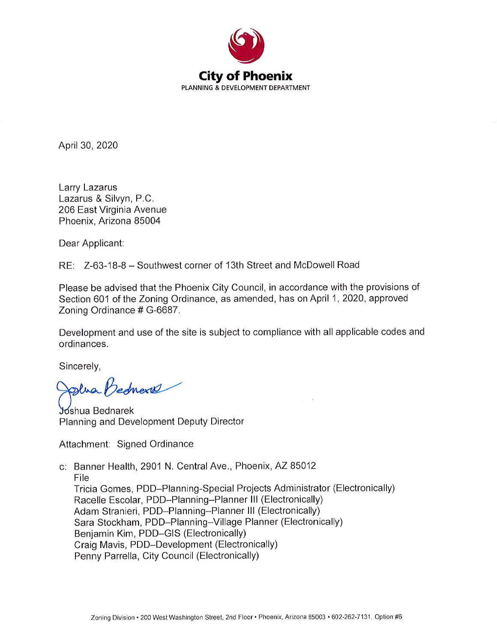

April 30, 2020

Larry Lazarus Lazarus & Silvyn, P.C. 206 East Virginia Avenue Phoenix, Arizona 85004

Dear Applicant:

RE: Z-63-18-8 - Southwest corner of 13th Street and McDowell Road

Please be advised that the Phoenix City Council, in accordance with the provisions of Section 601 of the Zoning Ordinance, as amended, has on April 1, 2020, approved Zoning Ordinance # G-6687.

Development and use of the site is subject to compliance with all applicable codes and ordinances.

Sincerely,

Slua Bedness

Joshua Bednarek Planning and Development Deputy Director

Attachment: Signed Ordinance

c: Banner Health, 2901 N. Central Ave., Phoenix, AZ 85012 File Tricia Gomes, PDD-Planning-Special Projects Administrator (Electronically) Racelle Escolar, PDD-Planning-Planner III (Electronically) Adam Stranieri, PDD-Planning-Planner III (Electronically) Sara Stockham, PDD-Planning-Village Planner (Electronically) Benjamin Kim, PDD-GIS (Electronically) Craig Mavis, PDD-Development (Electronically) Penny Parrella, City Council (Electronically)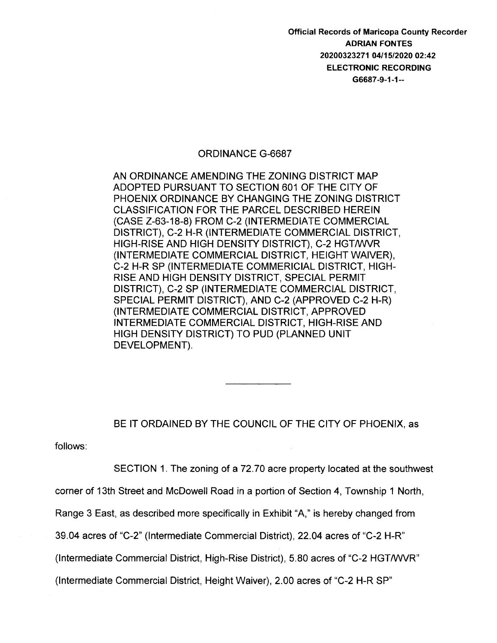Official Records of Maricopa County Recorder ADRIAN FONTES 20200323271 04/15/2020 02:42 ELECTRONIC RECORDING G6687 -9-1-1--

#### ORDINANCE G-6687

AN ORDINANCE AMENDING THE ZONING DISTRICT MAP ADOPTED PURSUANT TO SECTION 601 OF THE CITY OF PHOENIX ORDINANCE BY CHANGING THE ZONING DISTRICT CLASSIFICATION FOR THE PARCEL DESCRIBED HEREIN (CASE Z-63-18-8) FROM C-2 (INTERMEDIATE COMMERCIAL DISTRICT), C-2 H-R (INTERMEDIATE COMMERCIAL DISTRICT, HIGH-RISE AND HIGH DENSITY DISTRICT), C-2 HGT/WVR (INTERMEDIATE COMMERCIAL DISTRICT, HEIGHT WAIVER), C-2 H-R SP (INTERMEDIATE COMMERICIAL DISTRICT, HIGH-RISE AND HIGH DENSITY DISTRICT, SPECIAL PERMIT DISTRICT), C-2 SP (INTERMEDIATE COMMERCIAL DISTRICT, SPECIAL PERMIT DISTRICT), AND C-2 (APPROVED C-2 H-R) (INTERMEDIATE COMMERCIAL DISTRICT, APPROVED INTERMEDIATE COMMERCIAL DISTRICT, HIGH-RISE AND HIGH DENSITY DISTRICT) TO PUD (PLANNED UNIT DEVELOPMENT).

# BE IT ORDAINED BY THE COUNCIL OF THE CITY OF PHOENIX, as

follows:

SECTION 1. The zoning of a 72.70 acre property located at the southwest

corner of 13th Street and McDowell Road in a portion of Section 4, Township 1 North,

Range 3 East, as described more specifically in Exhibit "A," is hereby changed from

39.04 acres of "C-2" (Intermediate Commercial District), 22.04 acres of "C-2 H-R"

(Intermediate Commercial District, High-Rise District), 5.80 acres of "C-2 HGT/WVR"

(Intermediate Commercial District, Height Waiver), 2.00 acres of "C-2 H-R SP"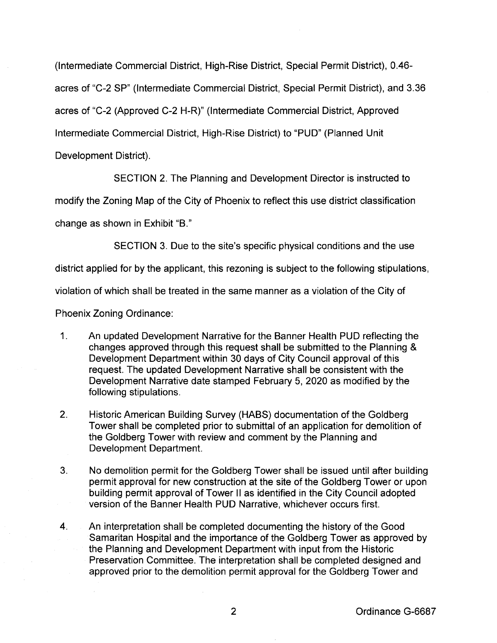(Intermediate Commercial District, High-Rise District, Special Permit District), 0.46-

acres of "C-2 SP" (Intermediate Commercial District, Special Permit District), and 3.36

acres of "C-2 (Approved C-2 H-R)" (Intermediate Commercial District, Approved

Intermediate Commercial District, High-Rise District) to "PUD" (Planned Unit

Development District).

SECTION 2. The Planning and Development Director is instructed to

modify the Zoning Map of the City of Phoenix to reflect this use district classification

change as shown in Exhibit "B."

SECTION 3. Due to the site's specific physical conditions and the use

district applied for by the applicant, this rezoning is subject to the following stipulations,

violation of which shall be treated in the same manner as a violation of the City of

Phoenix Zoning Ordinance:

- 1. An updated Development Narrative for the Banner Health PUD reflecting the changes approved through this request shall be submitted to the Planning & Development Department within 30 days of City Council approval of this request. The updated Development Narrative shall be consistent with the Development Narrative date stamped February 5, 2020 as modified by the following stipulations.
- 2. Historic American Building Survey (HABS) documentation of the Goldberg Tower shall be completed prior to submittal of an application for demolition of the Goldberg Tower with review and comment by the Planning and Development Department.
- 3. No demolition permit for the Goldberg Tower shall be issued until after building permit approval for new construction at the site of the Goldberg Tower or upon building permit approval of Tower II as identified in the City Council adopted version of the Banner Health PUD Narrative, whichever occurs first.
- 4. An interpretation shall be completed documenting the history of the Good Samaritan Hospital and the importance of the Goldberg Tower as approved by the Planning and Development Department with input from the Historic Preservation Committee. The interpretation shall be completed designed and approved prior to the demolition permit approval for the Goldberg Tower and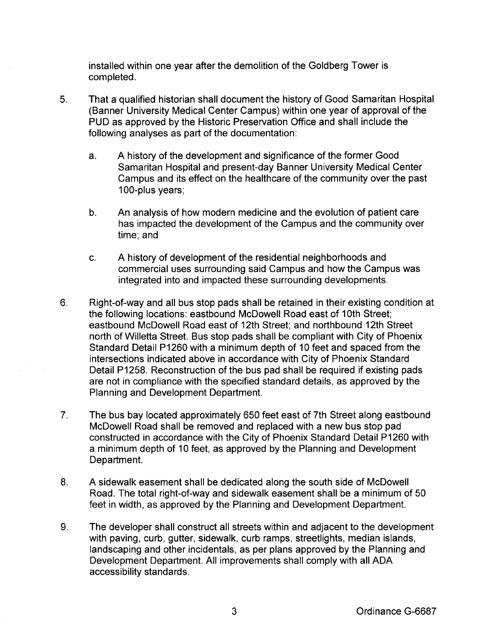installed within one year after the demolition of the Goldberg Tower is completed.

- 5. That a qualified historian shall document the history of Good Samaritan Hospital (Banner University Medical Center Campus) within one year of approval of the PUD as approved by the Historic Preservation Office and shall include the following analyses as part of the documentation:
	- a. A history of the development and significance of the former Good Samaritan Hospital and present-day Banner University Medical Center Campus and its effect on the health care of the community over the past 100-plus years;
	- b. An analysis of how modern medicine and the evolution of patient care has impacted the development of the Campus and the community over time; and
	- c. A history of development of the residential neighborhoods and commercial uses surrounding said Campus and how the Campus was integrated into and impacted these surrounding developments.
- 6. Right-of-way and all bus stop pads shall be retained in their existing condition at the following locations: eastbound McDowell Road east of 1Oth Street; eastbound McDowell Road east of 12th Street; and northbound 12th Street north of Willetta Street. Bus stop pads shall be compliant with City of Phoenix Standard Detail P1260 with a minimum depth of 10 feet and spaced from the intersections indicated above in accordance with City of Phoenix Standard Detail P1258. Reconstruction of the bus pad shall be required if existing pads are not in compliance with the specified standard details, as approved by the Planning and Development Department.
- 7. The bus bay located approximately 650 feet east of 7th Street along eastbound McDowell Road shall be removed and replaced with a new bus stop pad constructed in accordance with the City of Phoenix Standard Detail P1260 with a minimum depth of 10 feet, as approved by the Planning and Development Department.
- 8. A sidewalk easement shall be dedicated along the south side of McDowell Road. The total right-of-way and sidewalk easement shall be a minimum of 50 feet in width, as approved by the Planning and Development Department.
- 9. The developer shall construct all streets within and adjacent to the development with paving, curb, gutter, sidewalk, curb ramps, streetlights, median islands, landscaping and other incidentals, as per plans approved by the Planning and Development Department. All improvements shall comply with all ADA accessibility standards.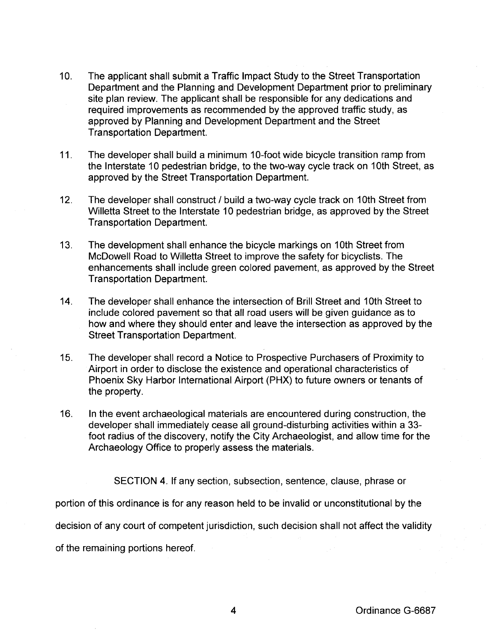- 10. The applicant shall submit a Traffic Impact Study to the Street Transportation Department and the Planning and Development Department prior to preliminary site plan review. The applicant shall be responsible for any dedications and required improvements as recommended by the approved traffic study, as approved by Planning and Development Department and the Street Transportation Department.
- 11. The developer shall build a minimum 10-foot wide bicycle transition ramp from the Interstate 10 pedestrian bridge, to the two-way cycle track on 1Oth Street, as approved by the Street Transportation Department.
- 12. The developer shall construct I build a two-way cycle track on 1Oth Street from Willetta Street to the Interstate 10 pedestrian bridge, as approved by the Street Transportation Department.
- 13. The development shall enhance the bicycle markings on 1Oth Street from McDowell Road to Willetta Street to improve the safety for bicyclists. The enhancements shall include green colored pavement, as approved by the Street Transportation Department.
- 14. The developer shall enhance the intersection of Brill Street and 10th Street to include colored pavement so that all road users will be given guidance as to how and where they should enter and leave the intersection as approved by the Street Transportation Department.
- 15. The developer shall record a Notice to Prospective Purchasers of Proximity to Airport in order to disclose the existence and operational characteristics of Phoenix Sky Harbor International Airport (PHX) to future owners or tenants of the property.
- 16. In the event archaeological materials are encountered during construction, the developer shall immediately cease all ground-disturbing activities within a 33 foot radius of the discovery, notify the City Archaeologist, and allow time for the Archaeology Office to properly assess the materials.

SECTION 4. If any section, subsection, sentence, clause, phrase or

portion of this ordinance is for any reason held to be invalid or unconstitutional by the

decision of any court of competent jurisdiction, such decision shall not affect the validity

of the remaining portions hereof.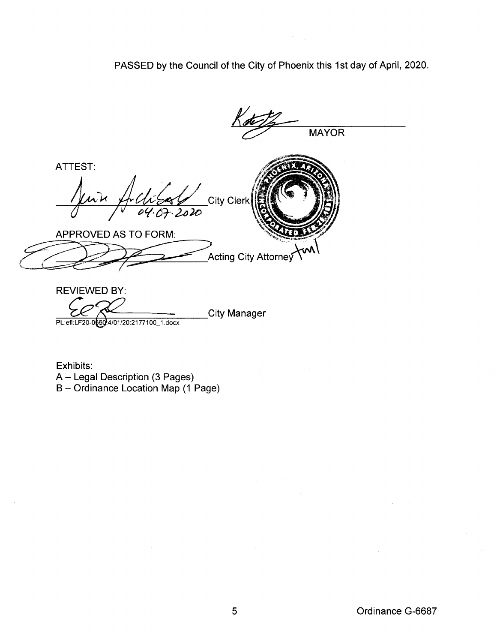PASSED by the Council of the City of Phoenix this 1st day of April, 2020.

MAYOR ATTEST: City Clerk  $04.0$ APPROVED AS TO FORM: **Acting City Attorney** REVIEWED BY: =-~~~-=-t-=-:\-:-:::-:-:=-::c-=-===:--:-:-----City Manager

Exhibits: A- Legal Description (3 Pages) B- Ordinance Location Map (1 Page)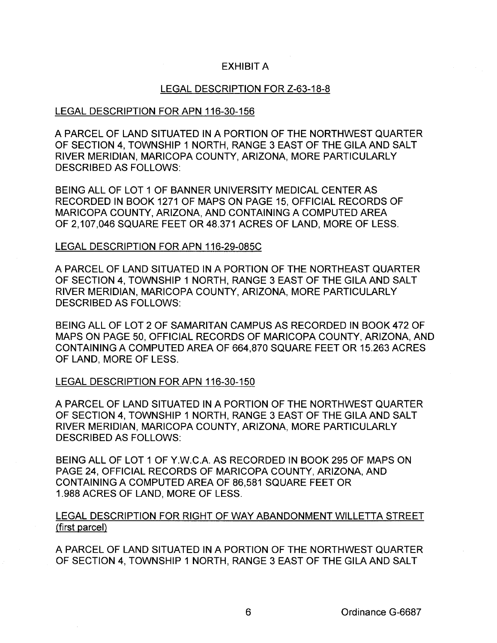# EXHIBIT A

### LEGAL DESCRIPTION FOR Z-63-18-8

### LEGAL DESCRIPTION FOR APN 116-30-156

A PARCEL OF LAND SITUATED IN A PORTION OF THE NORTHWEST QUARTER OF SECTION 4, TOWNSHIP 1 NORTH, RANGE 3 EAST OF THE GILA AND SALT RIVER MERIDIAN, MARICOPA COUNTY, ARIZONA, MORE PARTICULARLY DESCRIBED AS FOLLOWS:

BEING ALL OF LOT 1 OF BANNER UNIVERSITY MEDICAL CENTER AS RECORDED IN BOOK 1271 OF MAPS ON PAGE 15, OFFICIAL RECORDS OF MARICOPA COUNTY, ARIZONA, AND CONTAINING A COMPUTED AREA OF 2,107,046 SQUARE FEET OR 48.371 ACRES OF LAND, MORE OF LESS.

### LEGAL DESCRIPTION FOR APN 116-29-085C

A PARCEL OF LAND SITUATED IN A PORTION OF THE NORTHEAST QUARTER OF SECTION 4, TOWNSHIP 1 NORTH, RANGE 3 EAST OF THE GILA AND SALT RIVER MERIDIAN, MARICOPA COUNTY, ARIZONA, MORE PARTICULARLY DESCRIBED AS FOLLOWS:

BEING ALL OF LOT 2 OF SAMARITAN CAMPUS AS RECORDED IN BOOK 472 OF MAPS ON PAGE 50, OFFICIAL RECORDS OF MARICOPA COUNTY, ARIZONA, AND CONTAINING A COMPUTED AREA OF 664,870 SQUARE FEET OR 15.263 ACRES OF LAND, MORE OF LESS.

### LEGAL DESCRIPTION FOR APN 116-30-150

A PARCEL OF LAND SITUATED IN A PORTION OF THE NORTHWEST QUARTER OF SECTION 4, TOWNSHIP 1 NORTH, RANGE 3 EAST OF THE GILA AND SALT RIVER MERIDIAN, MARICOPA COUNTY, ARIZONA, MORE PARTICULARLY DESCRIBED AS FOLLOWS:

BEING ALL OF LOT 1 OF Y.W.C.A. AS RECORDED IN BOOK 295 OF MAPS ON PAGE 24, OFFICIAL RECORDS OF MARICOPA COUNTY, ARIZONA, AND CONTAINING A COMPUTED AREA OF 86,581 SQUARE FEET OR 1.988 ACRES OF LAND, MORE OF LESS.

# LEGAL DESCRIPTION FOR RIGHT OF WAY ABANDONMENT WILLETTA STREET (first parcel)

A PARCEL OF LAND SITUATED IN A PORTION OF THE NORTHWEST QUARTER OF SECTION 4, TOWNSHIP 1 NORTH, RANGE 3 EAST OF THE GILA AND SALT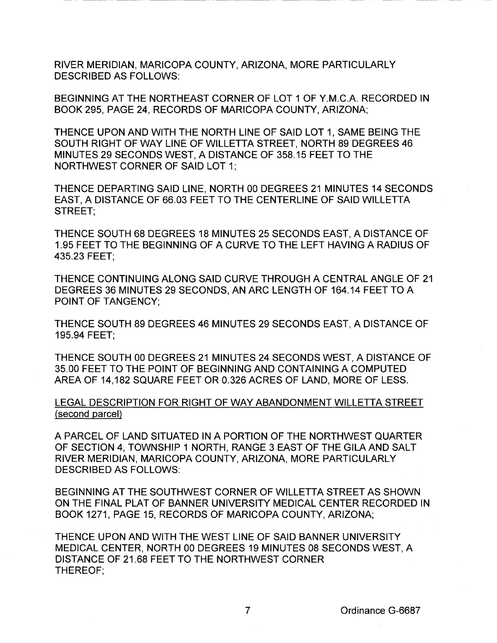RIVER MERIDIAN, MARICOPA COUNTY, ARIZONA, MORE PARTICULARLY DESCRIBED AS FOLLOWS:

BEGINNING AT THE NORTHEAST CORNER OF LOT 1 OF Y.M.C.A. RECORDED IN BOOK 295, PAGE 24, RECORDS OF MARICOPA COUNTY, ARIZONA;

THENCE UPON AND WITH THE NORTH LINE OF SAID LOT 1, SAME BEING THE SOUTH RIGHT OF WAY LINE OF WILLETTA STREET, NORTH 89 DEGREES 46 MINUTES 29 SECONDS WEST, A DISTANCE OF 358.15 FEET TO THE NORTHWEST CORNER OF SAID LOT 1;

THENCE DEPARTING SAID LINE, NORTH 00 DEGREES 21 MINUTES 14 SECONDS EAST, A DISTANCE OF 66.03 FEET TO THE CENTERLINE OF SAID WILLETTA STREET;

THENCE SOUTH 68 DEGREES 18 MINUTES 25 SECONDS EAST, A DISTANCE OF 1.95 FEET TO THE BEGINNING OF A CURVE TO THE LEFT HAVING A RADIUS OF 435.23 FEET;

THENCE CONTINUING ALONG SAID CURVE THROUGH A CENTRAL ANGLE OF 21 DEGREES 36 MINUTES 29 SECONDS, AN ARC LENGTH OF 164.14 FEET TO A POINT OF TANGENCY;

THENCE SOUTH 89 DEGREES 46 MINUTES 29 SECONDS EAST, A DISTANCE OF 195.94 FEET;

THENCE SOUTH 00 DEGREES 21 MINUTES 24 SECONDS WEST, A DISTANCE OF 35.00 FEET TO THE POINT OF BEGINNING AND CONTAINING A COMPUTED AREA OF 14,182 SQUARE FEET OR 0.326 ACRES OF LAND, MORE OF LESS.

LEGAL DESCRIPTION FOR RIGHT OF WAY ABANDONMENT WILLETTA STREET (second parcel)

A PARCEL OF LAND SITUATED IN A PORTION OF THE NORTHWEST QUARTER OF SECTION 4, TOWNSHIP 1 NORTH, RANGE 3 EAST OF THE GILA AND SALT RIVER MERIDIAN, MARICOPA COUNTY, ARIZONA, MORE PARTICULARLY DESCRIBED AS FOLLOWS:

BEGINNING AT THE SOUTHWEST CORNER OF WILLETTA STREET AS SHOWN ON THE FINAL PLAT OF BANNER UNIVERSITY MEDICAL CENTER RECORDED IN BOOK 1271, PAGE 15, RECORDS OF MARICOPA COUNTY, ARIZONA;

THENCE UPON AND WITH THE WEST LINE OF SAID BANNER UNIVERSITY MEDICAL CENTER, NORTH 00 DEGREES 19 MINUTES 08 SECONDS WEST, A DISTANCE OF 21.68 FEET TO THE NORTHWEST CORNER THEREOF;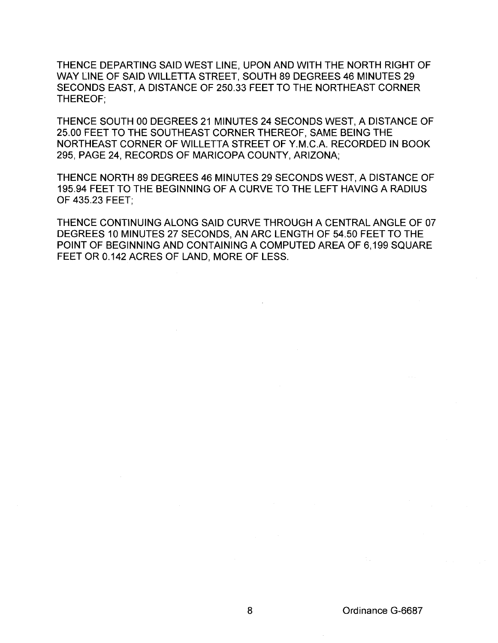THENCE DEPARTING SAID WEST LINE, UPON AND WITH THE NORTH RIGHT OF WAY LINE OF SAID WILLETTA STREET, SOUTH 89 DEGREES 46 MINUTES 29 SECONDS EAST, A DISTANCE OF 250.33 FEET TO THE NORTHEAST CORNER THEREOF;

THENCE SOUTH 00 DEGREES 21 MINUTES 24 SECONDS WEST, A DISTANCE OF 25.00 FEET TO THE SOUTHEAST CORNER THEREOF, SAME BEING THE NORTHEAST CORNER OF WILLETTA STREET OF Y.M.C.A. RECORDED IN BOOK 295, PAGE 24, RECORDS OF MARICOPA COUNTY, ARIZONA;

THENCE NORTH 89 DEGREES 46 MINUTES 29 SECONDS WEST, A DISTANCE OF 195.94 FEET TO THE BEGINNING OF A CURVE TO THE LEFT HAVING A RADIUS OF 435.23 FEET;

THENCE CONTINUING ALONG SAID CURVE THROUGH A CENTRAL ANGLE OF 07 DEGREES 10 MINUTES 27 SECONDS, AN ARC LENGTH OF 54.50 FEET TO THE POINT OF BEGINNING AND CONTAINING A COMPUTED AREA OF 6,199 SQUARE FEET OR 0.142 ACRES OF LAND, MORE OF LESS.